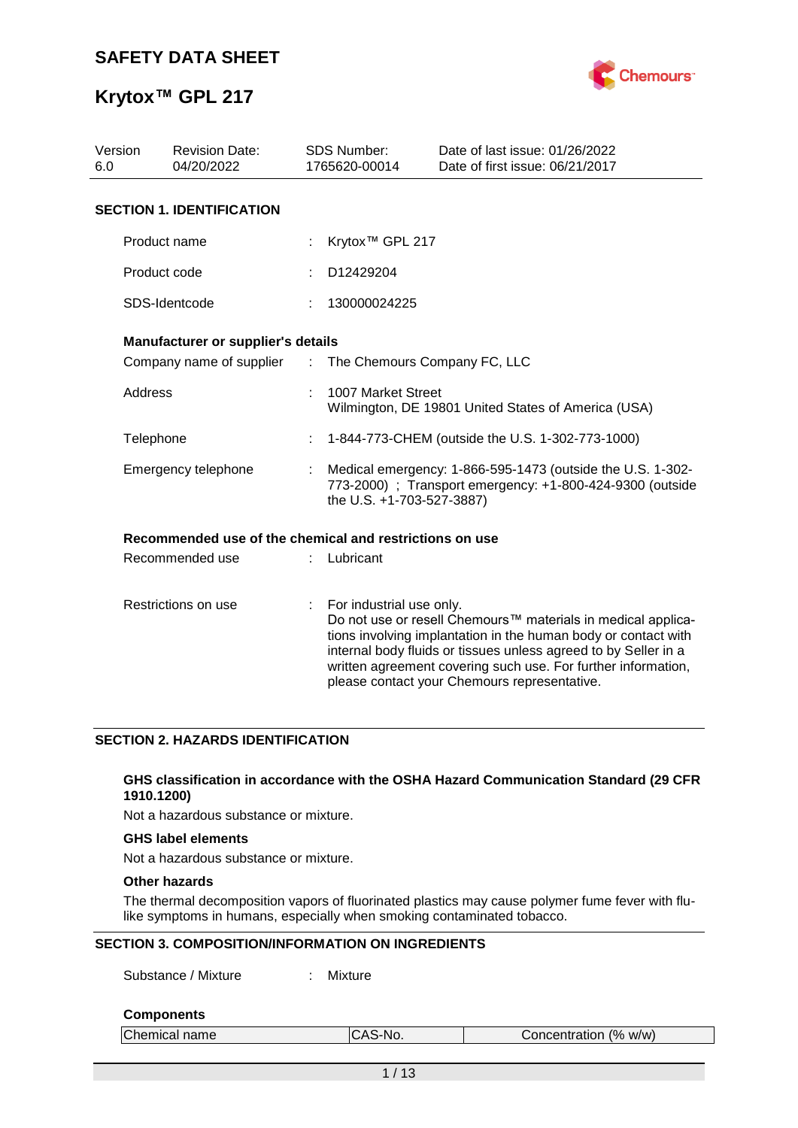

| Version<br>6.0 | <b>Revision Date:</b><br>04/20/2022                     |                               | <b>SDS Number:</b><br>1765620-00014                                                                                                                  | Date of last issue: 01/26/2022<br>Date of first issue: 06/21/2017                                                                                                                                                                                                                                                  |  |
|----------------|---------------------------------------------------------|-------------------------------|------------------------------------------------------------------------------------------------------------------------------------------------------|--------------------------------------------------------------------------------------------------------------------------------------------------------------------------------------------------------------------------------------------------------------------------------------------------------------------|--|
|                | <b>SECTION 1. IDENTIFICATION</b>                        |                               |                                                                                                                                                      |                                                                                                                                                                                                                                                                                                                    |  |
|                | Product name                                            |                               | Krytox <sup>™</sup> GPL 217                                                                                                                          |                                                                                                                                                                                                                                                                                                                    |  |
|                | Product code                                            |                               | D12429204                                                                                                                                            |                                                                                                                                                                                                                                                                                                                    |  |
|                | SDS-Identcode                                           |                               | 130000024225                                                                                                                                         |                                                                                                                                                                                                                                                                                                                    |  |
|                | Manufacturer or supplier's details                      |                               |                                                                                                                                                      |                                                                                                                                                                                                                                                                                                                    |  |
|                | Company name of supplier                                | $\mathcal{L}^{\mathcal{L}}$ . | The Chemours Company FC, LLC                                                                                                                         |                                                                                                                                                                                                                                                                                                                    |  |
| Address        |                                                         |                               | 1007 Market Street                                                                                                                                   | Wilmington, DE 19801 United States of America (USA)                                                                                                                                                                                                                                                                |  |
| Telephone      |                                                         |                               |                                                                                                                                                      | 1-844-773-CHEM (outside the U.S. 1-302-773-1000)                                                                                                                                                                                                                                                                   |  |
|                | Emergency telephone                                     |                               | Medical emergency: 1-866-595-1473 (outside the U.S. 1-302-<br>773-2000) ; Transport emergency: +1-800-424-9300 (outside<br>the U.S. +1-703-527-3887) |                                                                                                                                                                                                                                                                                                                    |  |
|                | Recommended use of the chemical and restrictions on use |                               |                                                                                                                                                      |                                                                                                                                                                                                                                                                                                                    |  |
|                | Recommended use                                         |                               | Lubricant                                                                                                                                            |                                                                                                                                                                                                                                                                                                                    |  |
|                | Restrictions on use                                     |                               | For industrial use only.                                                                                                                             | Do not use or resell Chemours™ materials in medical applica-<br>tions involving implantation in the human body or contact with<br>internal body fluids or tissues unless agreed to by Seller in a<br>written agreement covering such use. For further information,<br>please contact your Chemours representative. |  |

### **SECTION 2. HAZARDS IDENTIFICATION**

### **GHS classification in accordance with the OSHA Hazard Communication Standard (29 CFR 1910.1200)**

Not a hazardous substance or mixture.

### **GHS label elements**

Not a hazardous substance or mixture.

### **Other hazards**

The thermal decomposition vapors of fluorinated plastics may cause polymer fume fever with flulike symptoms in humans, especially when smoking contaminated tobacco.

### **SECTION 3. COMPOSITION/INFORMATION ON INGREDIENTS**

Substance / Mixture : Mixture

### **Components**

| Chemical name | CAS-No. | Concentration (% w/w) |  |
|---------------|---------|-----------------------|--|
|               |         |                       |  |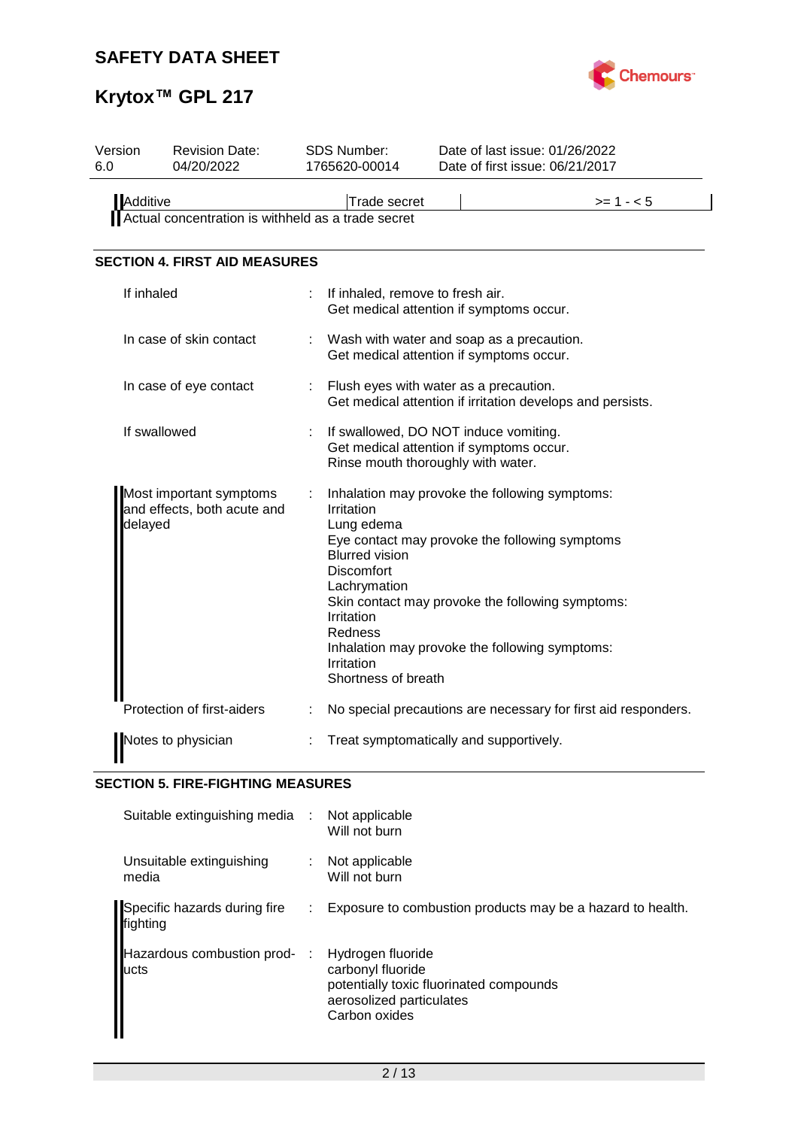

# **Krytox™ GPL 217**

| Version<br>6.0 | <b>Revision Date:</b><br>04/20/2022                    |                | SDS Number:<br>1765620-00014                                                                                                                  | Date of last issue: 01/26/2022<br>Date of first issue: 06/21/2017                                                                                                                                      |
|----------------|--------------------------------------------------------|----------------|-----------------------------------------------------------------------------------------------------------------------------------------------|--------------------------------------------------------------------------------------------------------------------------------------------------------------------------------------------------------|
| Additive       | Actual concentration is withheld as a trade secret     |                | Trade secret                                                                                                                                  | $>= 1 - 5$                                                                                                                                                                                             |
|                | <b>SECTION 4. FIRST AID MEASURES</b>                   |                |                                                                                                                                               |                                                                                                                                                                                                        |
| If inhaled     |                                                        |                | If inhaled, remove to fresh air.                                                                                                              | Get medical attention if symptoms occur.                                                                                                                                                               |
|                | In case of skin contact                                |                |                                                                                                                                               | Wash with water and soap as a precaution.<br>Get medical attention if symptoms occur.                                                                                                                  |
|                | In case of eye contact                                 | $\mathbb{R}^n$ |                                                                                                                                               | Flush eyes with water as a precaution.<br>Get medical attention if irritation develops and persists.                                                                                                   |
|                | If swallowed                                           |                | Rinse mouth thoroughly with water.                                                                                                            | If swallowed, DO NOT induce vomiting.<br>Get medical attention if symptoms occur.                                                                                                                      |
| delayed        | Most important symptoms<br>and effects, both acute and |                | Irritation<br>Lung edema<br><b>Blurred vision</b><br>Discomfort<br>Lachrymation<br>Irritation<br>Redness<br>Irritation<br>Shortness of breath | Inhalation may provoke the following symptoms:<br>Eye contact may provoke the following symptoms<br>Skin contact may provoke the following symptoms:<br>Inhalation may provoke the following symptoms: |
|                | Protection of first-aiders                             |                |                                                                                                                                               | No special precautions are necessary for first aid responders.                                                                                                                                         |
|                | Notes to physician                                     |                |                                                                                                                                               | Treat symptomatically and supportively.                                                                                                                                                                |

## **SECTION 5. FIRE-FIGHTING MEASURES**

| Suitable extinguishing media :           |    | Not applicable<br>Will not burn                                                                                                |
|------------------------------------------|----|--------------------------------------------------------------------------------------------------------------------------------|
| Unsuitable extinguishing<br>media        |    | Not applicable<br>Will not burn                                                                                                |
| Specific hazards during fire<br>fighting | ÷. | Exposure to combustion products may be a hazard to health.                                                                     |
| Hazardous combustion prod-<br>lucts      | ÷  | Hydrogen fluoride<br>carbonyl fluoride<br>potentially toxic fluorinated compounds<br>aerosolized particulates<br>Carbon oxides |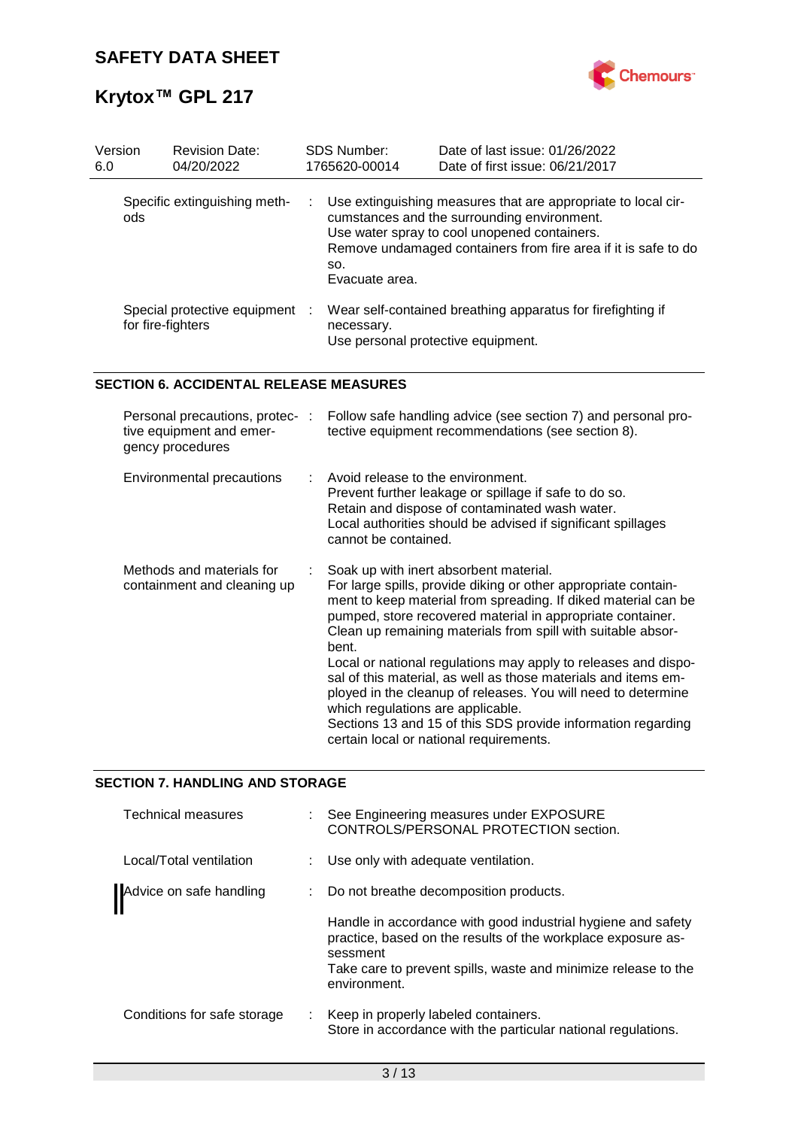

| Version<br>6.0 | <b>Revision Date:</b><br>04/20/2022               | <b>SDS Number:</b><br>1765620-00014 | Date of last issue: 01/26/2022<br>Date of first issue: 06/21/2017                                                                                                                                                                |
|----------------|---------------------------------------------------|-------------------------------------|----------------------------------------------------------------------------------------------------------------------------------------------------------------------------------------------------------------------------------|
| ods.           | Specific extinguishing meth-                      | SO.<br>Evacuate area.               | : Use extinguishing measures that are appropriate to local cir-<br>cumstances and the surrounding environment.<br>Use water spray to cool unopened containers.<br>Remove undamaged containers from fire area if it is safe to do |
|                | Special protective equipment<br>for fire-fighters | necessary.                          | Wear self-contained breathing apparatus for firefighting if<br>Use personal protective equipment.                                                                                                                                |

### **SECTION 6. ACCIDENTAL RELEASE MEASURES**

| Personal precautions, protec-:<br>tive equipment and emer-<br>gency procedures | Follow safe handling advice (see section 7) and personal pro-<br>tective equipment recommendations (see section 8).                                                                                                                                                                                                                                                                                                                                                                                                                                                                                                                                                    |
|--------------------------------------------------------------------------------|------------------------------------------------------------------------------------------------------------------------------------------------------------------------------------------------------------------------------------------------------------------------------------------------------------------------------------------------------------------------------------------------------------------------------------------------------------------------------------------------------------------------------------------------------------------------------------------------------------------------------------------------------------------------|
| Environmental precautions                                                      | $\therefore$ Avoid release to the environment.<br>Prevent further leakage or spillage if safe to do so.<br>Retain and dispose of contaminated wash water.<br>Local authorities should be advised if significant spillages<br>cannot be contained.                                                                                                                                                                                                                                                                                                                                                                                                                      |
| Methods and materials for<br>containment and cleaning up                       | Soak up with inert absorbent material.<br>For large spills, provide diking or other appropriate contain-<br>ment to keep material from spreading. If diked material can be<br>pumped, store recovered material in appropriate container.<br>Clean up remaining materials from spill with suitable absor-<br>bent.<br>Local or national regulations may apply to releases and dispo-<br>sal of this material, as well as those materials and items em-<br>ployed in the cleanup of releases. You will need to determine<br>which regulations are applicable.<br>Sections 13 and 15 of this SDS provide information regarding<br>certain local or national requirements. |

### **SECTION 7. HANDLING AND STORAGE**

| Technical measures          |      | : See Engineering measures under EXPOSURE<br>CONTROLS/PERSONAL PROTECTION section.                                                       |
|-----------------------------|------|------------------------------------------------------------------------------------------------------------------------------------------|
| Local/Total ventilation     |      | : Use only with adequate ventilation.                                                                                                    |
| Advice on safe handling     | t in | Do not breathe decomposition products.                                                                                                   |
|                             |      | Handle in accordance with good industrial hygiene and safety<br>practice, based on the results of the workplace exposure as-<br>sessment |
|                             |      | Take care to prevent spills, waste and minimize release to the<br>environment.                                                           |
| Conditions for safe storage |      | Keep in properly labeled containers.<br>Store in accordance with the particular national regulations.                                    |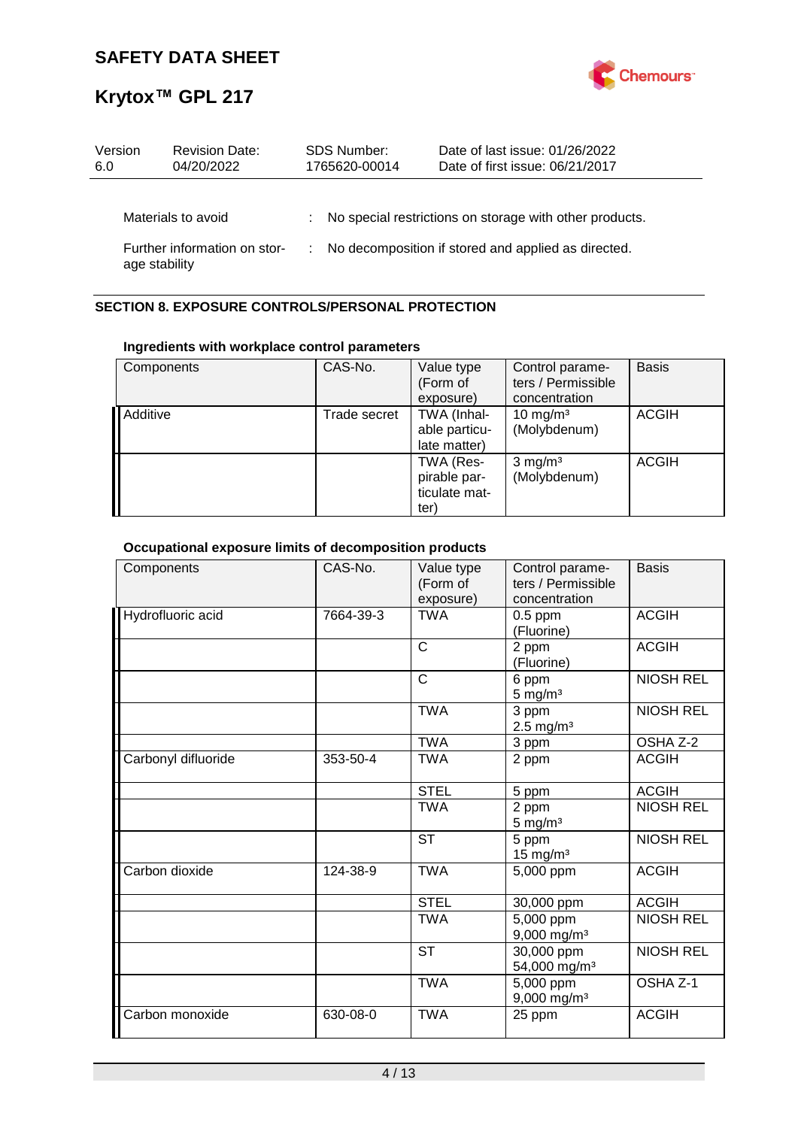

| Version<br>6.0 | <b>Revision Date:</b><br>04/20/2022 | <b>SDS Number:</b><br>1765620-00014 | Date of last issue: 01/26/2022<br>Date of first issue: 06/21/2017 |
|----------------|-------------------------------------|-------------------------------------|-------------------------------------------------------------------|
|                | Materials to avoid                  |                                     | : No special restrictions on storage with other products.         |
| age stability  | Further information on stor-        |                                     | : No decomposition if stored and applied as directed.             |

### **SECTION 8. EXPOSURE CONTROLS/PERSONAL PROTECTION**

### **Ingredients with workplace control parameters**

| Components | CAS-No.      | Value type<br>(Form of<br>exposure)                            | Control parame-<br>ters / Permissible<br>concentration | <b>Basis</b> |
|------------|--------------|----------------------------------------------------------------|--------------------------------------------------------|--------------|
| Additive   | Trade secret | TWA (Inhal-<br>able particu-<br>late matter)                   | 10 mg/m $3$<br>(Molybdenum)                            | <b>ACGIH</b> |
|            |              | TWA (Res-<br>pirable par-<br>ticulate mat-<br>ter <sup>'</sup> | $3$ mg/m <sup>3</sup><br>(Molybdenum)                  | <b>ACGIH</b> |

## **Occupational exposure limits of decomposition products**

| Components          | CAS-No.   | Value type<br>(Form of<br>exposure) | Control parame-<br>ters / Permissible<br>concentration | <b>Basis</b>     |
|---------------------|-----------|-------------------------------------|--------------------------------------------------------|------------------|
| Hydrofluoric acid   | 7664-39-3 | <b>TWA</b>                          | $0.5$ ppm<br>(Fluorine)                                | <b>ACGIH</b>     |
|                     |           | $\mathsf{C}$                        | 2 ppm<br>(Fluorine)                                    | <b>ACGIH</b>     |
|                     |           | $\mathsf{C}$                        | 6 ppm<br>$5 \text{ mg/m}^3$                            | <b>NIOSH REL</b> |
|                     |           | <b>TWA</b>                          | 3 ppm<br>$2.5 \text{ mg/m}^3$                          | <b>NIOSH REL</b> |
|                     |           | <b>TWA</b>                          | 3 ppm                                                  | OSHA Z-2         |
| Carbonyl difluoride | 353-50-4  | <b>TWA</b>                          | 2 ppm                                                  | <b>ACGIH</b>     |
|                     |           | <b>STEL</b>                         | 5 ppm                                                  | <b>ACGIH</b>     |
|                     |           | <b>TWA</b>                          | 2 ppm<br>$5 \text{ mg/m}^3$                            | <b>NIOSH REL</b> |
|                     |           | <b>ST</b>                           | 5 ppm<br>$15 \text{ mg/m}^3$                           | <b>NIOSH REL</b> |
| Carbon dioxide      | 124-38-9  | <b>TWA</b>                          | 5,000 ppm                                              | <b>ACGIH</b>     |
|                     |           | <b>STEL</b>                         | 30,000 ppm                                             | <b>ACGIH</b>     |
|                     |           | <b>TWA</b>                          | 5,000 ppm<br>$9,000$ mg/m <sup>3</sup>                 | <b>NIOSH REL</b> |
|                     |           | <b>ST</b>                           | 30,000 ppm<br>54,000 mg/m <sup>3</sup>                 | <b>NIOSH REL</b> |
|                     |           | <b>TWA</b>                          | 5,000 ppm<br>9,000 mg/m <sup>3</sup>                   | OSHA Z-1         |
| Carbon monoxide     | 630-08-0  | <b>TWA</b>                          | 25 ppm                                                 | <b>ACGIH</b>     |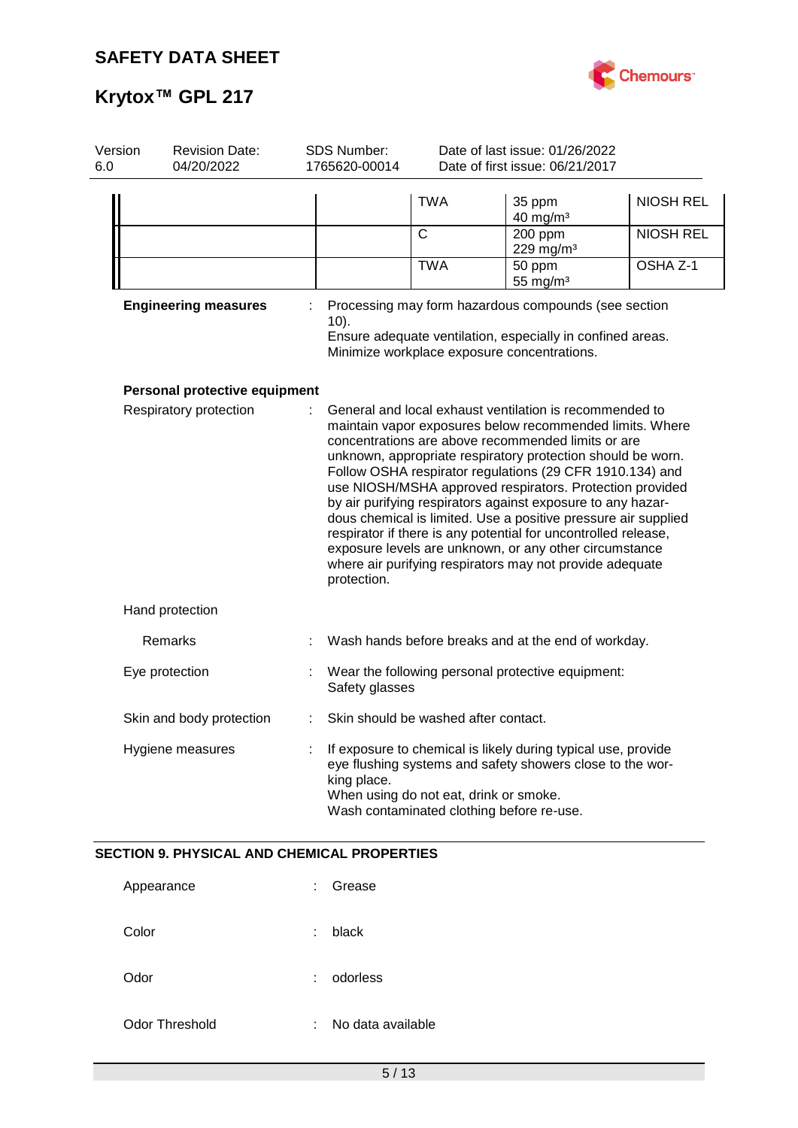

| Version<br>6.0 | <b>Revision Date:</b><br>04/20/2022                | SDS Number:<br>1765620-00014 | Date of last issue: 01/26/2022<br>Date of first issue: 06/21/2017                   |                                                                                                                                                                                                                                                                                                                                                                                                                                                                                                                                                                                                                                                                                           |                  |
|----------------|----------------------------------------------------|------------------------------|-------------------------------------------------------------------------------------|-------------------------------------------------------------------------------------------------------------------------------------------------------------------------------------------------------------------------------------------------------------------------------------------------------------------------------------------------------------------------------------------------------------------------------------------------------------------------------------------------------------------------------------------------------------------------------------------------------------------------------------------------------------------------------------------|------------------|
|                |                                                    |                              | <b>TWA</b>                                                                          | 35 ppm<br>$40$ mg/m <sup>3</sup>                                                                                                                                                                                                                                                                                                                                                                                                                                                                                                                                                                                                                                                          | <b>NIOSH REL</b> |
|                |                                                    |                              | $\mathsf{C}$                                                                        | 200 ppm<br>229 mg/m <sup>3</sup>                                                                                                                                                                                                                                                                                                                                                                                                                                                                                                                                                                                                                                                          | <b>NIOSH REL</b> |
|                |                                                    |                              | <b>TWA</b>                                                                          | 50 ppm<br>55 mg/m $3$                                                                                                                                                                                                                                                                                                                                                                                                                                                                                                                                                                                                                                                                     | OSHA Z-1         |
|                | <b>Engineering measures</b>                        | 10).                         | Minimize workplace exposure concentrations.                                         | Processing may form hazardous compounds (see section<br>Ensure adequate ventilation, especially in confined areas.                                                                                                                                                                                                                                                                                                                                                                                                                                                                                                                                                                        |                  |
|                | Personal protective equipment                      |                              |                                                                                     |                                                                                                                                                                                                                                                                                                                                                                                                                                                                                                                                                                                                                                                                                           |                  |
|                | Respiratory protection                             | protection.                  |                                                                                     | General and local exhaust ventilation is recommended to<br>maintain vapor exposures below recommended limits. Where<br>concentrations are above recommended limits or are<br>unknown, appropriate respiratory protection should be worn.<br>Follow OSHA respirator regulations (29 CFR 1910.134) and<br>use NIOSH/MSHA approved respirators. Protection provided<br>by air purifying respirators against exposure to any hazar-<br>dous chemical is limited. Use a positive pressure air supplied<br>respirator if there is any potential for uncontrolled release,<br>exposure levels are unknown, or any other circumstance<br>where air purifying respirators may not provide adequate |                  |
|                | Hand protection                                    |                              |                                                                                     |                                                                                                                                                                                                                                                                                                                                                                                                                                                                                                                                                                                                                                                                                           |                  |
|                | Remarks                                            |                              |                                                                                     | Wash hands before breaks and at the end of workday.                                                                                                                                                                                                                                                                                                                                                                                                                                                                                                                                                                                                                                       |                  |
|                | Eye protection                                     | Safety glasses               |                                                                                     | Wear the following personal protective equipment:                                                                                                                                                                                                                                                                                                                                                                                                                                                                                                                                                                                                                                         |                  |
|                | Skin and body protection                           |                              | Skin should be washed after contact.                                                |                                                                                                                                                                                                                                                                                                                                                                                                                                                                                                                                                                                                                                                                                           |                  |
|                | Hygiene measures                                   | king place.                  | When using do not eat, drink or smoke.<br>Wash contaminated clothing before re-use. | If exposure to chemical is likely during typical use, provide<br>eye flushing systems and safety showers close to the wor-                                                                                                                                                                                                                                                                                                                                                                                                                                                                                                                                                                |                  |
|                | <b>SECTION 9. PHYSICAL AND CHEMICAL PROPERTIES</b> |                              |                                                                                     |                                                                                                                                                                                                                                                                                                                                                                                                                                                                                                                                                                                                                                                                                           |                  |
|                | Appearance                                         | Grease                       |                                                                                     |                                                                                                                                                                                                                                                                                                                                                                                                                                                                                                                                                                                                                                                                                           |                  |
|                | Color                                              | black                        |                                                                                     |                                                                                                                                                                                                                                                                                                                                                                                                                                                                                                                                                                                                                                                                                           |                  |
|                | Odor                                               | odorless                     |                                                                                     |                                                                                                                                                                                                                                                                                                                                                                                                                                                                                                                                                                                                                                                                                           |                  |
|                | <b>Odor Threshold</b>                              | No data available            |                                                                                     |                                                                                                                                                                                                                                                                                                                                                                                                                                                                                                                                                                                                                                                                                           |                  |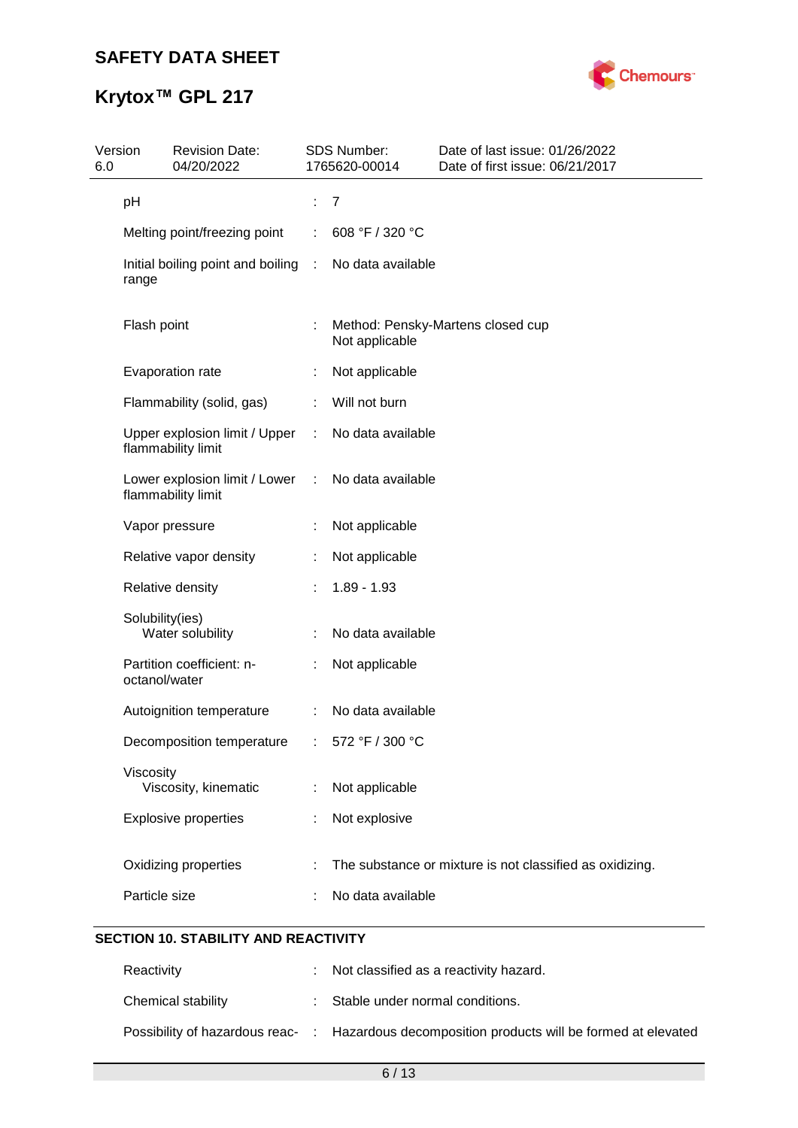

# **Krytox™ GPL 217**

| Version<br>6.0 | <b>Revision Date:</b><br>04/20/2022                 |   | <b>SDS Number:</b><br>1765620-00014 | Date of last issue: 01/26/2022<br>Date of first issue: 06/21/2017 |
|----------------|-----------------------------------------------------|---|-------------------------------------|-------------------------------------------------------------------|
|                | pH                                                  | ÷ | 7                                   |                                                                   |
|                | Melting point/freezing point                        |   | 608 °F / 320 °C                     |                                                                   |
|                | Initial boiling point and boiling :<br>range        |   | No data available                   |                                                                   |
|                | Flash point                                         | ÷ | Not applicable                      | Method: Pensky-Martens closed cup                                 |
|                | Evaporation rate                                    |   | Not applicable                      |                                                                   |
|                | Flammability (solid, gas)                           |   | Will not burn                       |                                                                   |
|                | Upper explosion limit / Upper<br>flammability limit | ÷ | No data available                   |                                                                   |
|                | Lower explosion limit / Lower<br>flammability limit | ÷ | No data available                   |                                                                   |
|                | Vapor pressure                                      |   | Not applicable                      |                                                                   |
|                | Relative vapor density                              |   | Not applicable                      |                                                                   |
|                | Relative density                                    |   | $1.89 - 1.93$                       |                                                                   |
|                | Solubility(ies)<br>Water solubility                 |   | No data available                   |                                                                   |
|                | Partition coefficient: n-<br>octanol/water          |   | Not applicable                      |                                                                   |
|                | Autoignition temperature                            | ÷ | No data available                   |                                                                   |
|                | Decomposition temperature                           |   | 572 °F / 300 °C                     |                                                                   |
|                | Viscosity<br>Viscosity, kinematic                   |   | Not applicable                      |                                                                   |
|                | <b>Explosive properties</b>                         |   | Not explosive                       |                                                                   |
|                | Oxidizing properties                                |   |                                     | The substance or mixture is not classified as oxidizing.          |
|                | Particle size                                       |   | No data available                   |                                                                   |
|                |                                                     |   |                                     |                                                                   |

### **SECTION 10. STABILITY AND REACTIVITY**

| Reactivity         | : Not classified as a reactivity hazard.                                                     |
|--------------------|----------------------------------------------------------------------------------------------|
| Chemical stability | : Stable under normal conditions.                                                            |
|                    | Possibility of hazardous reac- : Hazardous decomposition products will be formed at elevated |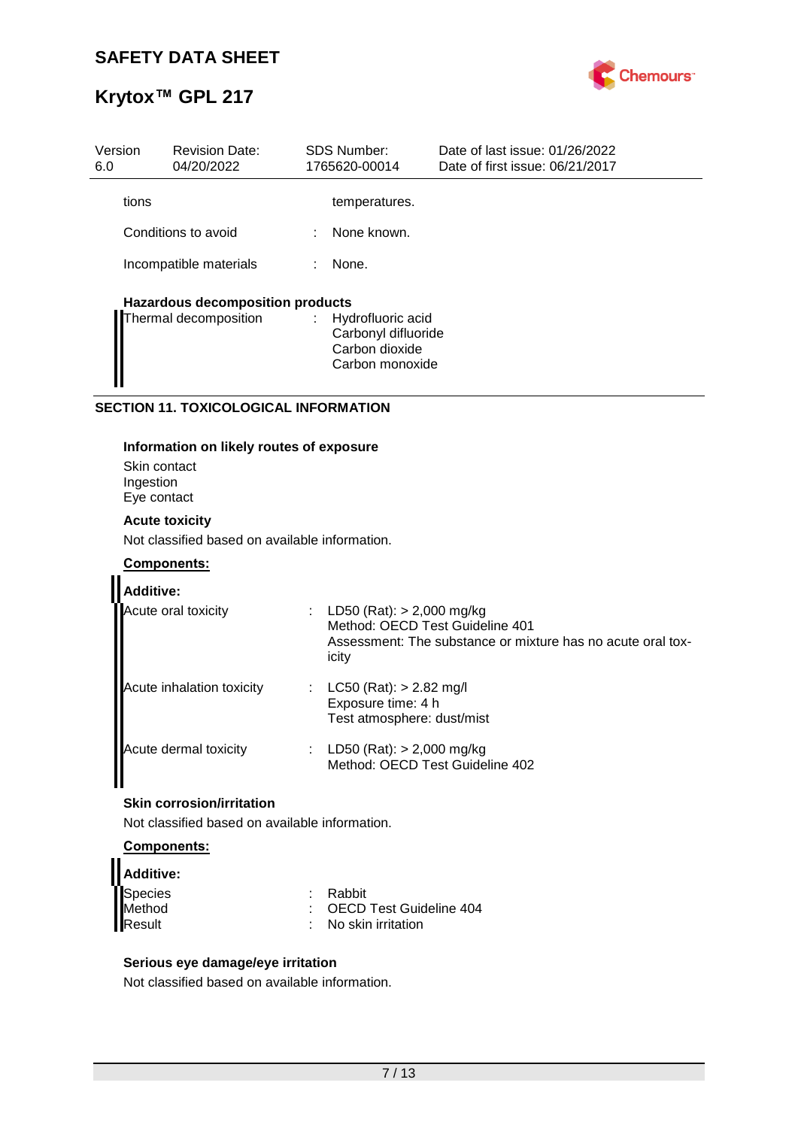

| Version<br>6.0 | <b>Revision Date:</b><br>04/20/2022     |   | SDS Number:<br>1765620-00014                                                    | Date of last issue: 01/26/2022<br>Date of first issue: 06/21/2017 |
|----------------|-----------------------------------------|---|---------------------------------------------------------------------------------|-------------------------------------------------------------------|
| tions          |                                         |   | temperatures.                                                                   |                                                                   |
|                | Conditions to avoid                     | ÷ | None known.                                                                     |                                                                   |
|                | Incompatible materials                  |   | None.                                                                           |                                                                   |
|                | <b>Hazardous decomposition products</b> |   |                                                                                 |                                                                   |
|                | Thermal decomposition                   |   | : Hydrofluoric acid<br>Carbonyl difluoride<br>Carbon dioxide<br>Carbon monoxide |                                                                   |

### **SECTION 11. TOXICOLOGICAL INFORMATION**

### **Information on likely routes of exposure**

Skin contact Ingestion Eye contact

### **Acute toxicity**

Not classified based on available information.

### **Components:**

| <b>Additive:</b>          |                                                                                                                                          |
|---------------------------|------------------------------------------------------------------------------------------------------------------------------------------|
| Acute oral toxicity       | : LD50 (Rat): $> 2,000$ mg/kg<br>Method: OECD Test Guideline 401<br>Assessment: The substance or mixture has no acute oral tox-<br>icity |
| Acute inhalation toxicity | LC50 (Rat): > 2.82 mg/l<br>Exposure time: 4 h<br>Test atmosphere: dust/mist                                                              |
| Acute dermal toxicity     | LD50 (Rat): $> 2,000$ mg/kg<br>Method: OECD Test Guideline 402                                                                           |

### **Skin corrosion/irritation**

Not classified based on available information.

### **Components:**

| Additive: |                                 |
|-----------|---------------------------------|
| Species   | : Rabbit                        |
| Method    | : OECD Test Guideline 404       |
| Result    | $\therefore$ No skin irritation |

### **Serious eye damage/eye irritation**

Not classified based on available information.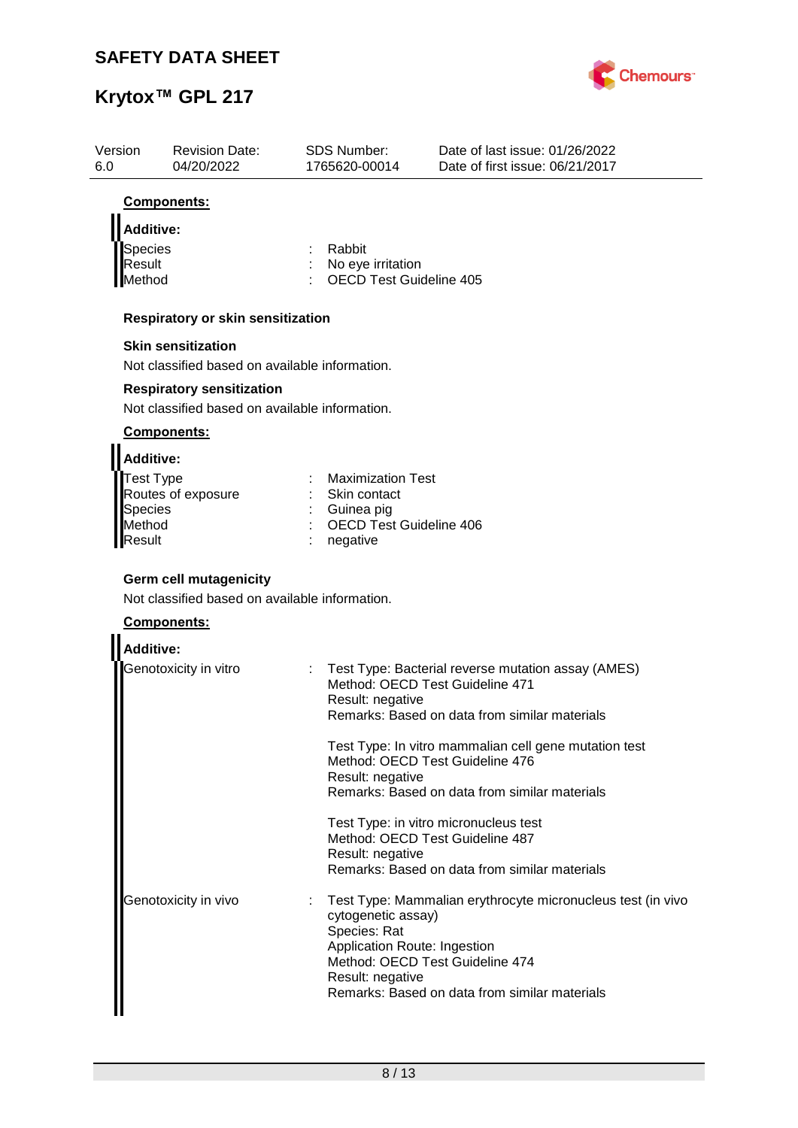

| Version<br>6.0 |                  | <b>Revision Date:</b><br>04/20/2022                                             | <b>SDS Number:</b><br>1765620-00014 | Date of last issue: 01/26/2022<br>Date of first issue: 06/21/2017 |
|----------------|------------------|---------------------------------------------------------------------------------|-------------------------------------|-------------------------------------------------------------------|
|                |                  | Components:                                                                     |                                     |                                                                   |
|                | <b>Additive:</b> |                                                                                 |                                     |                                                                   |
|                | Species          |                                                                                 | Rabbit                              |                                                                   |
|                | Result           |                                                                                 | No eye irritation                   |                                                                   |
|                | Method           |                                                                                 | <b>OECD Test Guideline 405</b>      |                                                                   |
|                |                  | Respiratory or skin sensitization                                               |                                     |                                                                   |
|                |                  | <b>Skin sensitization</b>                                                       |                                     |                                                                   |
|                |                  | Not classified based on available information.                                  |                                     |                                                                   |
|                |                  | <b>Respiratory sensitization</b>                                                |                                     |                                                                   |
|                |                  | Not classified based on available information.                                  |                                     |                                                                   |
|                |                  | Components:                                                                     |                                     |                                                                   |
|                | <b>Additive:</b> |                                                                                 |                                     |                                                                   |
|                | Test Type        |                                                                                 | <b>Maximization Test</b>            |                                                                   |
|                | Species          | Routes of exposure                                                              | Skin contact<br>Guinea pig          |                                                                   |
|                | Method           |                                                                                 | OECD Test Guideline 406             |                                                                   |
|                | Result           |                                                                                 | negative                            |                                                                   |
|                |                  |                                                                                 |                                     |                                                                   |
|                |                  | <b>Germ cell mutagenicity</b><br>Not classified based on available information. |                                     |                                                                   |
|                |                  |                                                                                 |                                     |                                                                   |
|                |                  | Components:                                                                     |                                     |                                                                   |
|                | <b>Additive:</b> |                                                                                 |                                     |                                                                   |
|                |                  | Genotoxicity in vitro                                                           | Method: OECD Test Guideline 471     | Test Type: Bacterial reverse mutation assay (AMES)                |
|                |                  |                                                                                 | Result: negative                    |                                                                   |
|                |                  |                                                                                 |                                     | Remarks: Based on data from similar materials                     |
|                |                  |                                                                                 |                                     | Test Type: In vitro mammalian cell gene mutation test             |
|                |                  |                                                                                 |                                     | Method: OECD Test Guideline 476                                   |
|                |                  |                                                                                 | Result: negative                    | Remarks: Based on data from similar materials                     |
|                |                  |                                                                                 |                                     |                                                                   |
|                |                  |                                                                                 |                                     | Test Type: in vitro micronucleus test                             |
|                |                  |                                                                                 | Result: negative                    | Method: OECD Test Guideline 487                                   |
|                |                  |                                                                                 |                                     | Remarks: Based on data from similar materials                     |
|                |                  | Genotoxicity in vivo                                                            |                                     | Test Type: Mammalian erythrocyte micronucleus test (in vivo       |
|                |                  |                                                                                 | cytogenetic assay)                  |                                                                   |
|                |                  |                                                                                 | Species: Rat                        |                                                                   |
|                |                  |                                                                                 | Application Route: Ingestion        |                                                                   |
|                |                  |                                                                                 | Result: negative                    | Method: OECD Test Guideline 474                                   |
|                |                  |                                                                                 |                                     | Remarks: Based on data from similar materials                     |
|                |                  |                                                                                 |                                     |                                                                   |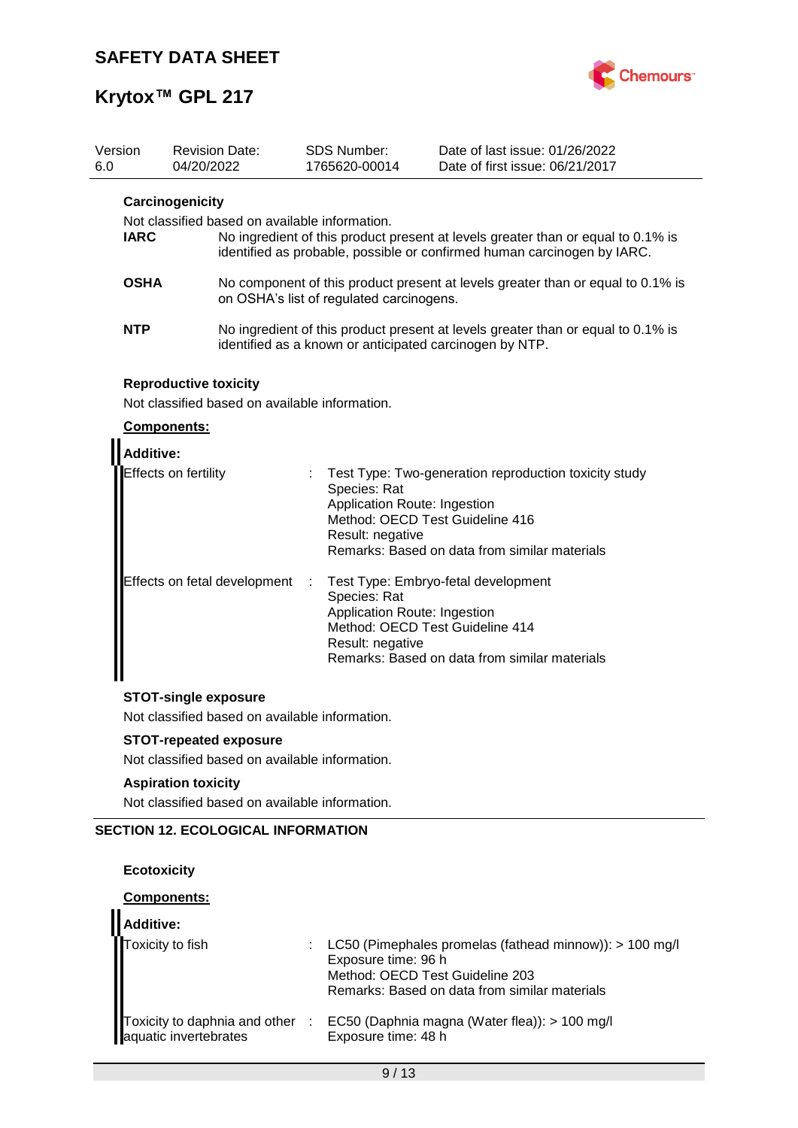

| Version<br>6.0 |                                                                                                      | 04/20/2022           | <b>Revision Date:</b>        |                                                                                                                                             | <b>SDS Number:</b><br>1765620-00014                                                                 | Date of last issue: 01/26/2022<br>Date of first issue: 06/21/2017                                                                                           |  |  |
|----------------|------------------------------------------------------------------------------------------------------|----------------------|------------------------------|---------------------------------------------------------------------------------------------------------------------------------------------|-----------------------------------------------------------------------------------------------------|-------------------------------------------------------------------------------------------------------------------------------------------------------------|--|--|
|                | Carcinogenicity<br>Not classified based on available information.<br><b>IARC</b>                     |                      |                              |                                                                                                                                             |                                                                                                     | No ingredient of this product present at levels greater than or equal to 0.1% is<br>identified as probable, possible or confirmed human carcinogen by IARC. |  |  |
|                | <b>OSHA</b>                                                                                          |                      |                              |                                                                                                                                             | on OSHA's list of regulated carcinogens.                                                            | No component of this product present at levels greater than or equal to 0.1% is                                                                             |  |  |
|                | <b>NTP</b>                                                                                           |                      |                              | No ingredient of this product present at levels greater than or equal to 0.1% is<br>identified as a known or anticipated carcinogen by NTP. |                                                                                                     |                                                                                                                                                             |  |  |
|                | <b>Reproductive toxicity</b><br>Not classified based on available information.<br><b>Components:</b> |                      |                              |                                                                                                                                             |                                                                                                     |                                                                                                                                                             |  |  |
|                | <b>Additive:</b>                                                                                     | Effects on fertility |                              |                                                                                                                                             | Species: Rat<br>Application Route: Ingestion<br>Method: OECD Test Guideline 416<br>Result: negative | Test Type: Two-generation reproduction toxicity study<br>Remarks: Based on data from similar materials                                                      |  |  |
|                |                                                                                                      |                      | Effects on fetal development | ÷                                                                                                                                           | Species: Rat<br>Application Route: Ingestion<br>Method: OECD Test Guideline 414<br>Result: negative | Test Type: Embryo-fetal development<br>Remarks: Based on data from similar materials                                                                        |  |  |
|                |                                                                                                      |                      | <b>STOT-single exposure</b>  |                                                                                                                                             |                                                                                                     |                                                                                                                                                             |  |  |
|                | Not classified based on available information.                                                       |                      |                              |                                                                                                                                             |                                                                                                     |                                                                                                                                                             |  |  |

### **STOT-repeated exposure**

Not classified based on available information.

### **Aspiration toxicity**

Not classified based on available information.

## **SECTION 12. ECOLOGICAL INFORMATION**

### **Ecotoxicity**

### **Components:**

| Additive:                                                                  |                                                                                                                                                                      |
|----------------------------------------------------------------------------|----------------------------------------------------------------------------------------------------------------------------------------------------------------------|
| Toxicity to fish<br>Toxicity to daphnia and other<br>aquatic invertebrates | LC50 (Pimephales promelas (fathead minnow)): $> 100$ mg/l<br>Exposure time: 96 h<br>Method: OECD Test Guideline 203<br>Remarks: Based on data from similar materials |
|                                                                            | EC50 (Daphnia magna (Water flea)): > 100 mg/l<br>Exposure time: 48 h                                                                                                 |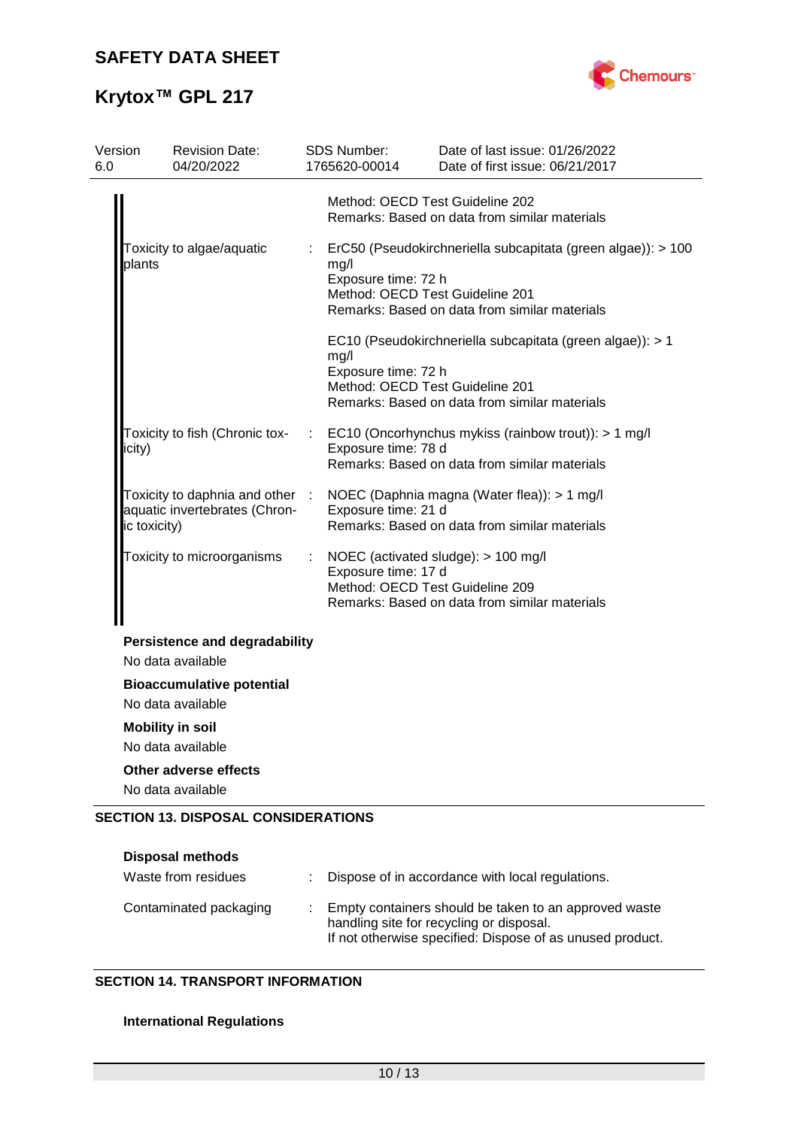

# **Krytox™ GPL 217**

| Version<br>6.0 | <b>Revision Date:</b><br>04/20/2022                                              |    | <b>SDS Number:</b><br>1765620-00014 | Date of last issue: 01/26/2022<br>Date of first issue: 06/21/2017                                                                                |  |
|----------------|----------------------------------------------------------------------------------|----|-------------------------------------|--------------------------------------------------------------------------------------------------------------------------------------------------|--|
|                |                                                                                  |    |                                     | Method: OECD Test Guideline 202<br>Remarks: Based on data from similar materials                                                                 |  |
|                | Toxicity to algae/aquatic<br>plants                                              | t. | mg/l<br>Exposure time: 72 h         | ErC50 (Pseudokirchneriella subcapitata (green algae)): > 100<br>Method: OECD Test Guideline 201<br>Remarks: Based on data from similar materials |  |
|                |                                                                                  |    | mg/l<br>Exposure time: 72 h         | EC10 (Pseudokirchneriella subcapitata (green algae)): > 1<br>Method: OECD Test Guideline 201<br>Remarks: Based on data from similar materials    |  |
|                | Toxicity to fish (Chronic tox-<br>icity)                                         |    | Exposure time: 78 d                 | EC10 (Oncorhynchus mykiss (rainbow trout)): > 1 mg/l<br>Remarks: Based on data from similar materials                                            |  |
|                | Toxicity to daphnia and other :<br>aquatic invertebrates (Chron-<br>ic toxicity) |    | Exposure time: 21 d                 | NOEC (Daphnia magna (Water flea)): > 1 mg/l<br>Remarks: Based on data from similar materials                                                     |  |
|                | Toxicity to microorganisms                                                       | ÷  | Exposure time: 17 d                 | NOEC (activated sludge): > 100 mg/l<br>Method: OECD Test Guideline 209<br>Remarks: Based on data from similar materials                          |  |
|                | <b>Persistence and degradability</b><br>No data available                        |    |                                     |                                                                                                                                                  |  |
|                | <b>Bioaccumulative potential</b><br>No data available                            |    |                                     |                                                                                                                                                  |  |
|                | <b>Mobility in soil</b><br>No data available                                     |    |                                     |                                                                                                                                                  |  |
|                | Other adverse effects<br>No data available                                       |    |                                     |                                                                                                                                                  |  |
|                | <b>SECTION 13. DISPOSAL CONSIDERATIONS</b>                                       |    |                                     |                                                                                                                                                  |  |

| <b>Disposal methods</b><br>Waste from residues | Dispose of in accordance with local regulations.                                                                                                               |
|------------------------------------------------|----------------------------------------------------------------------------------------------------------------------------------------------------------------|
| Contaminated packaging                         | Empty containers should be taken to an approved waste<br>handling site for recycling or disposal.<br>If not otherwise specified: Dispose of as unused product. |

### **SECTION 14. TRANSPORT INFORMATION**

### **International Regulations**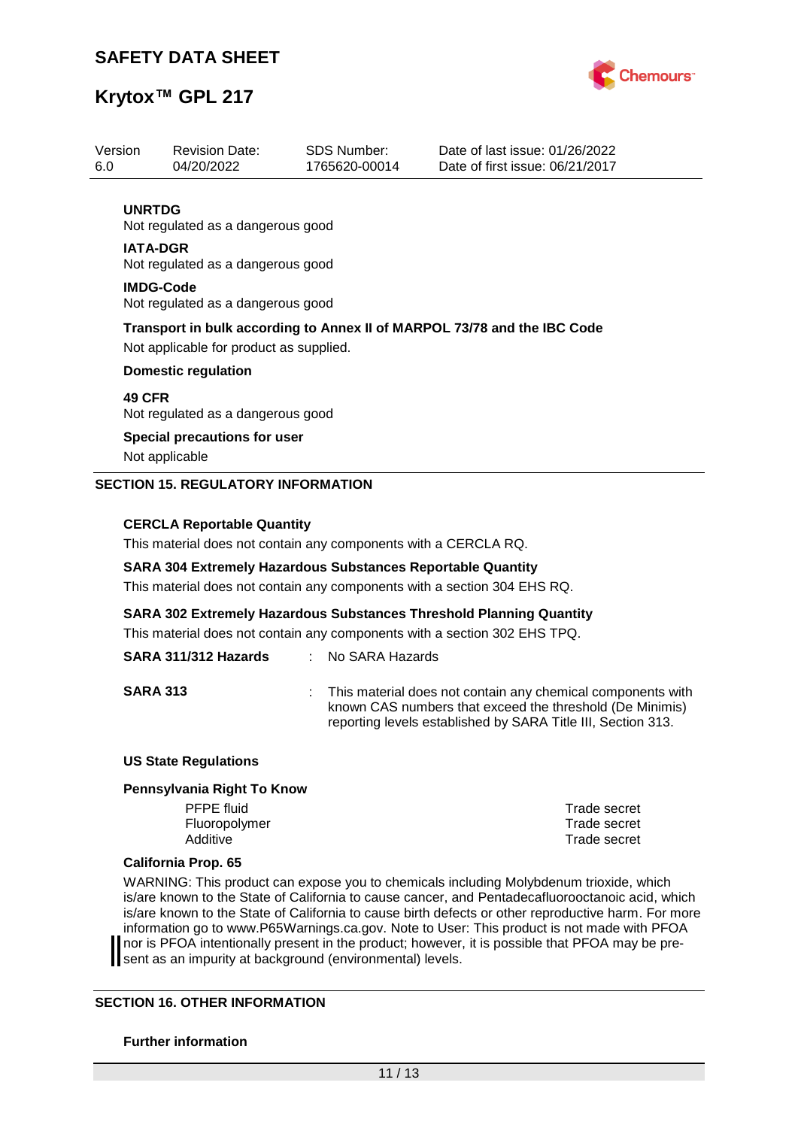

## **Krytox™ GPL 217**

| Version<br>6.0   | <b>Revision Date:</b><br>04/20/2022                                                                                 | SDS Number:<br>1765620-00014 | Date of last issue: 01/26/2022<br>Date of first issue: 06/21/2017 |  |  |  |
|------------------|---------------------------------------------------------------------------------------------------------------------|------------------------------|-------------------------------------------------------------------|--|--|--|
|                  |                                                                                                                     |                              |                                                                   |  |  |  |
| <b>UNRTDG</b>    | Not regulated as a dangerous good                                                                                   |                              |                                                                   |  |  |  |
| <b>IATA-DGR</b>  | Not regulated as a dangerous good                                                                                   |                              |                                                                   |  |  |  |
| <b>IMDG-Code</b> | Not regulated as a dangerous good                                                                                   |                              |                                                                   |  |  |  |
|                  | Transport in bulk according to Annex II of MARPOL 73/78 and the IBC Code<br>Not applicable for product as supplied. |                              |                                                                   |  |  |  |
|                  | <b>Domestic regulation</b>                                                                                          |                              |                                                                   |  |  |  |
|                  | <b>49 CFR</b><br>Not regulated as a dangerous good                                                                  |                              |                                                                   |  |  |  |
|                  | Special precautions for user<br>Not applicable                                                                      |                              |                                                                   |  |  |  |
|                  | <b>SECTION 15. REGULATORY INFORMATION</b>                                                                           |                              |                                                                   |  |  |  |
|                  | CERCLA Renortable Quantity                                                                                          |                              |                                                                   |  |  |  |

### **CERCLA Reportable Quantity**

This material does not contain any components with a CERCLA RQ.

### **SARA 304 Extremely Hazardous Substances Reportable Quantity**

This material does not contain any components with a section 304 EHS RQ.

**SARA 302 Extremely Hazardous Substances Threshold Planning Quantity**

This material does not contain any components with a section 302 EHS TPQ.

## **SARA 311/312 Hazards** : No SARA Hazards

**SARA 313** : This material does not contain any chemical components with known CAS numbers that exceed the threshold (De Minimis) reporting levels established by SARA Title III, Section 313.

### **US State Regulations**

#### **Pennsylvania Right To Know**

PFPE fluid Trade secret Fluoropolymer Trade secret Additive **Trade secret** 

### **California Prop. 65**

WARNING: This product can expose you to chemicals including Molybdenum trioxide, which is/are known to the State of California to cause cancer, and Pentadecafluorooctanoic acid, which is/are known to the State of California to cause birth defects or other reproductive harm. For more information go to www.P65Warnings.ca.gov. Note to User: This product is not made with PFOA nor is PFOA intentionally present in the product; however, it is possible that PFOA may be present as an impurity at background (environmental) levels.

### **SECTION 16. OTHER INFORMATION**

### **Further information**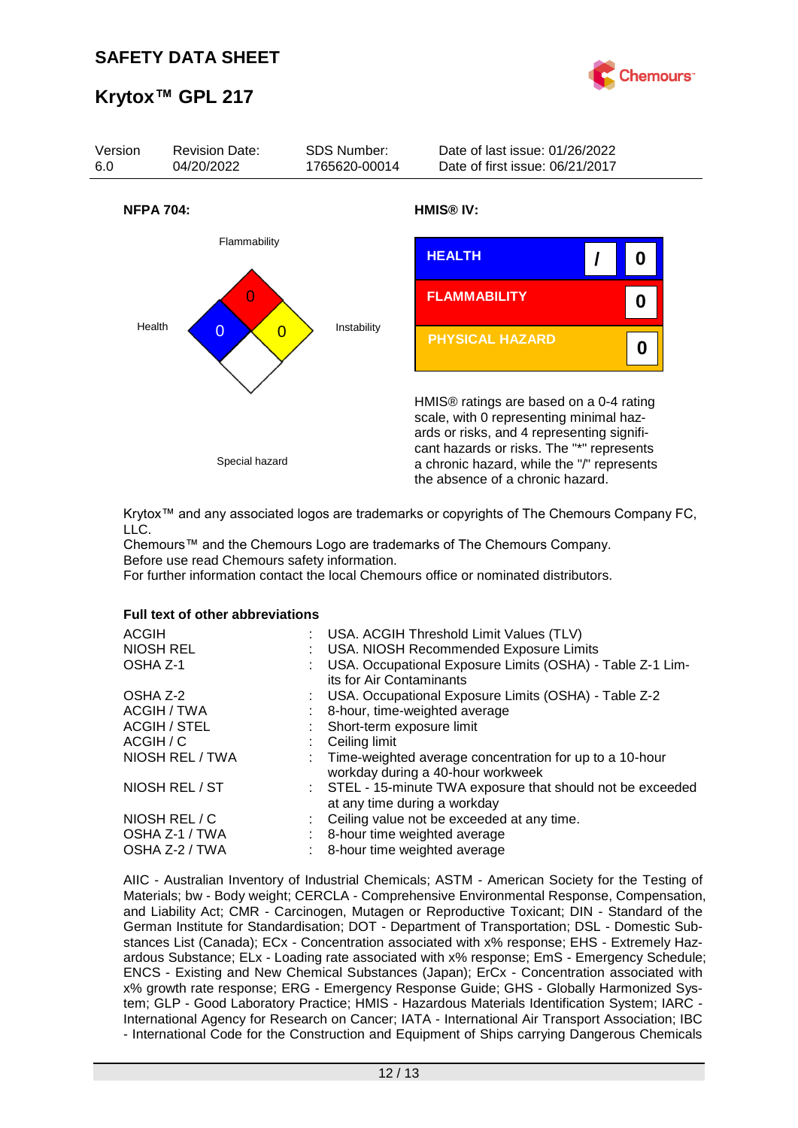



Krytox™ and any associated logos are trademarks or copyrights of The Chemours Company FC, LLC.

Chemours™ and the Chemours Logo are trademarks of The Chemours Company. Before use read Chemours safety information.

For further information contact the local Chemours office or nominated distributors.

### **Full text of other abbreviations**

| <b>ACGIH</b><br>NIOSH REL<br>OSHA Z-1 | : USA. ACGIH Threshold Limit Values (TLV)<br>: USA. NIOSH Recommended Exposure Limits<br>USA. Occupational Exposure Limits (OSHA) - Table Z-1 Lim-<br>its for Air Contaminants |
|---------------------------------------|--------------------------------------------------------------------------------------------------------------------------------------------------------------------------------|
| OSHA Z-2                              | : USA. Occupational Exposure Limits (OSHA) - Table Z-2                                                                                                                         |
| ACGIH / TWA                           | 8-hour, time-weighted average                                                                                                                                                  |
| <b>ACGIH / STEL</b>                   | : Short-term exposure limit                                                                                                                                                    |
| ACGIH / C                             | Ceiling limit                                                                                                                                                                  |
| NIOSH REL / TWA                       | : Time-weighted average concentration for up to a 10-hour<br>workday during a 40-hour workweek                                                                                 |
| NIOSH REL / ST                        | : STEL - 15-minute TWA exposure that should not be exceeded<br>at any time during a workday                                                                                    |
| NIOSH REL / C                         | : Ceiling value not be exceeded at any time.                                                                                                                                   |
| OSHA Z-1 / TWA                        | : 8-hour time weighted average                                                                                                                                                 |
| OSHA Z-2 / TWA                        | 8-hour time weighted average                                                                                                                                                   |

AIIC - Australian Inventory of Industrial Chemicals; ASTM - American Society for the Testing of Materials; bw - Body weight; CERCLA - Comprehensive Environmental Response, Compensation, and Liability Act; CMR - Carcinogen, Mutagen or Reproductive Toxicant; DIN - Standard of the German Institute for Standardisation; DOT - Department of Transportation; DSL - Domestic Substances List (Canada); ECx - Concentration associated with x% response; EHS - Extremely Hazardous Substance; ELx - Loading rate associated with x% response; EmS - Emergency Schedule; ENCS - Existing and New Chemical Substances (Japan); ErCx - Concentration associated with x% growth rate response; ERG - Emergency Response Guide; GHS - Globally Harmonized System; GLP - Good Laboratory Practice; HMIS - Hazardous Materials Identification System; IARC - International Agency for Research on Cancer; IATA - International Air Transport Association; IBC - International Code for the Construction and Equipment of Ships carrying Dangerous Chemicals